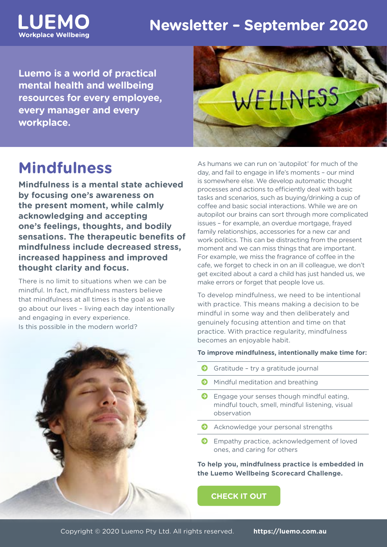# **Newsletter – September 2020**

**Luemo is a world of practical mental health and wellbeing resources for every employee, every manager and every workplace.**

# WELLNESS

# **Mindfulness**

LUEMO

**Workplace Wellbeing** 

**Mindfulness is a mental state achieved by focusing one's awareness on the present moment, while calmly acknowledging and accepting one's feelings, thoughts, and bodily sensations. The therapeutic benefits of mindfulness include decreased stress, increased happiness and improved thought clarity and focus.**

There is no limit to situations when we can be mindful. In fact, mindfulness masters believe that mindfulness at all times is the goal as we go about our lives – living each day intentionally and engaging in every experience. Is this possible in the modern world?



As humans we can run on 'autopilot' for much of the day, and fail to engage in life's moments – our mind is somewhere else. We develop automatic thought processes and actions to efficiently deal with basic tasks and scenarios, such as buying/drinking a cup of coffee and basic social interactions. While we are on autopilot our brains can sort through more complicated issues – for example, an overdue mortgage, frayed family relationships, accessories for a new car and work politics. This can be distracting from the present moment and we can miss things that are important. For example, we miss the fragrance of coffee in the cafe, we forget to check in on an ill colleague, we don't get excited about a card a child has just handed us, we make errors or forget that people love us.

To develop mindfulness, we need to be intentional with practice. This means making a decision to be mindful in some way and then deliberately and genuinely focusing attention and time on that practice. With practice regularity, mindfulness becomes an enjoyable habit.

#### **To improve mindfulness, intentionally make time for:**

- É Gratitude try a gratitude journal
- **E** Mindful meditation and breathing
- **E** Engage your senses though mindful eating, mindful touch, smell, mindful listening, visual observation
- **E** Acknowledge your personal strengths
- **E** Empathy practice, acknowledgement of loved ones, and caring for others

**To help you, mindfulness practice is embedded in the Luemo Wellbeing Scorecard Challenge.** 

**[CHECK IT OUT](https://luemo.com.au/resource/balancing-your-wellbeing-scorecard/)**